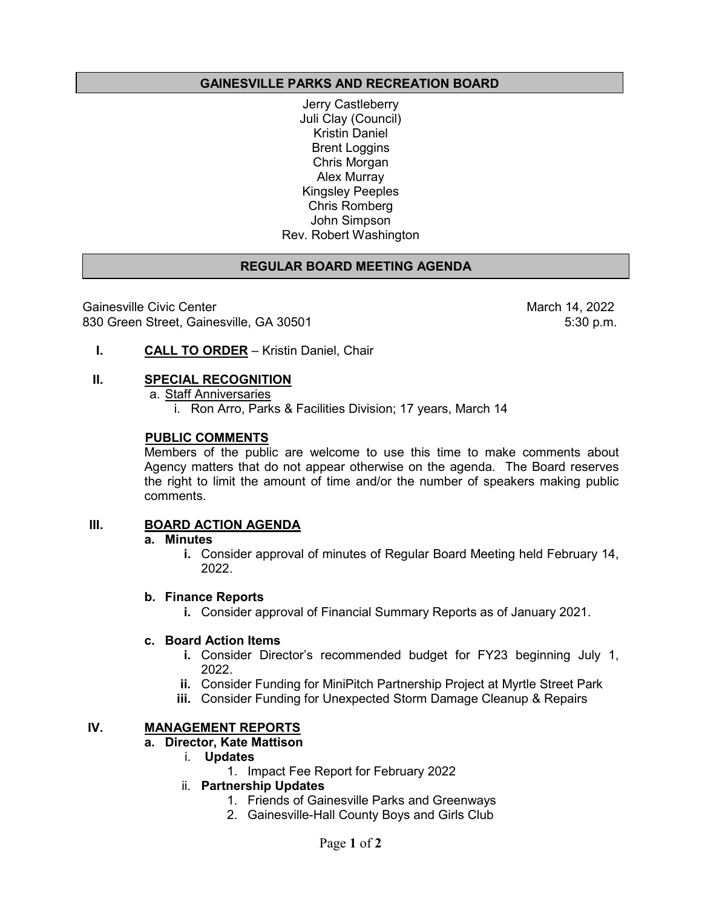# **GAINESVILLE PARKS AND RECREATION BOARD**

Jerry Castleberry Juli Clay (Council) Kristin Daniel Brent Loggins Chris Morgan Alex Murray Kingsley Peeples Chris Romberg John Simpson Rev. Robert Washington

# **REGULAR BOARD MEETING AGENDA**

Gainesville Civic Center (14, 2022 March 14, 2022<br>830 Green Street, Gainesville, GA 30501 830 Green Street, Gainesville, GA 30501

**I. CALL TO ORDER** – Kristin Daniel, Chair

## **II. SPECIAL RECOGNITION**

a. Staff Anniversaries i. Ron Arro, Parks & Facilities Division; 17 years, March 14

## **PUBLIC COMMENTS**

Members of the public are welcome to use this time to make comments about Agency matters that do not appear otherwise on the agenda. The Board reserves the right to limit the amount of time and/or the number of speakers making public comments.

# **III. BOARD ACTION AGENDA**

# **a. Minutes**

**i.** Consider approval of minutes of Regular Board Meeting held February 14, 2022.

# **b. Finance Reports**

**i.** Consider approval of Financial Summary Reports as of January 2021.

# **c. Board Action Items**

- **i.** Consider Director's recommended budget for FY23 beginning July 1, 2022.
- **ii.** Consider Funding for MiniPitch Partnership Project at Myrtle Street Park
- **iii.** Consider Funding for Unexpected Storm Damage Cleanup & Repairs

# **IV. MANAGEMENT REPORTS**

#### **a. Director, Kate Mattison**

- i. **Updates** 
	- 1. Impact Fee Report for February 2022

# ii. **Partnership Updates**

- 1. Friends of Gainesville Parks and Greenways
- 2. Gainesville-Hall County Boys and Girls Club